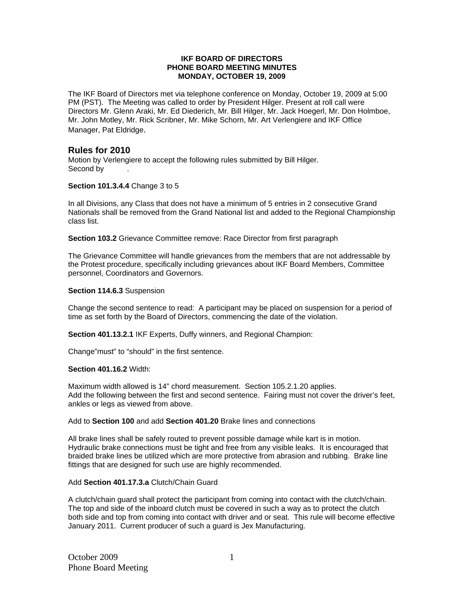### **IKF BOARD OF DIRECTORS PHONE BOARD MEETING MINUTES MONDAY, OCTOBER 19, 2009**

The IKF Board of Directors met via telephone conference on Monday, October 19, 2009 at 5:00 PM (PST). The Meeting was called to order by President Hilger. Present at roll call were Directors Mr. Glenn Araki, Mr. Ed Diederich, Mr. Bill Hilger, Mr. Jack Hoegerl, Mr. Don Holmboe, Mr. John Motley, Mr. Rick Scribner, Mr. Mike Schorn, Mr. Art Verlengiere and IKF Office Manager, Pat Eldridge.

# **Rules for 2010**

Motion by Verlengiere to accept the following rules submitted by Bill Hilger. Second by

## **Section 101.3.4.4** Change 3 to 5

In all Divisions, any Class that does not have a minimum of 5 entries in 2 consecutive Grand Nationals shall be removed from the Grand National list and added to the Regional Championship class list.

**Section 103.2** Grievance Committee remove: Race Director from first paragraph

The Grievance Committee will handle grievances from the members that are not addressable by the Protest procedure, specifically including grievances about IKF Board Members, Committee personnel, Coordinators and Governors.

## **Section 114.6.3** Suspension

Change the second sentence to read: A participant may be placed on suspension for a period of time as set forth by the Board of Directors, commencing the date of the violation.

**Section 401.13.2.1** IKF Experts, Duffy winners, and Regional Champion:

Change"must" to "should" in the first sentence.

## **Section 401.16.2** Width:

Maximum width allowed is 14" chord measurement. Section 105.2.1.20 applies. Add the following between the first and second sentence. Fairing must not cover the driver's feet, ankles or legs as viewed from above.

## Add to **Section 100** and add **Section 401.20** Brake lines and connections

All brake lines shall be safely routed to prevent possible damage while kart is in motion. Hydraulic brake connections must be tight and free from any visible leaks. It is encouraged that braided brake lines be utilized which are more protective from abrasion and rubbing. Brake line fittings that are designed for such use are highly recommended.

### Add **Section 401.17.3.a** Clutch/Chain Guard

A clutch/chain guard shall protect the participant from coming into contact with the clutch/chain. The top and side of the inboard clutch must be covered in such a way as to protect the clutch both side and top from coming into contact with driver and or seat. This rule will become effective January 2011. Current producer of such a guard is Jex Manufacturing.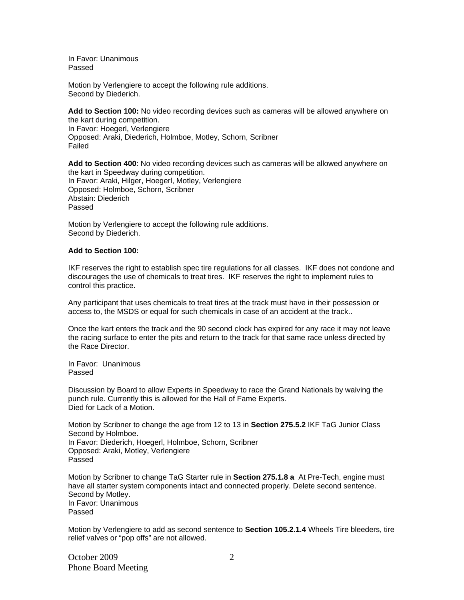In Favor: Unanimous Passed

Motion by Verlengiere to accept the following rule additions. Second by Diederich.

**Add to Section 100:** No video recording devices such as cameras will be allowed anywhere on the kart during competition. In Favor: Hoegerl, Verlengiere Opposed: Araki, Diederich, Holmboe, Motley, Schorn, Scribner Failed

**Add to Section 400**: No video recording devices such as cameras will be allowed anywhere on the kart in Speedway during competition. In Favor: Araki, Hilger, Hoegerl, Motley, Verlengiere Opposed: Holmboe, Schorn, Scribner Abstain: Diederich Passed

Motion by Verlengiere to accept the following rule additions. Second by Diederich.

### **Add to Section 100:**

IKF reserves the right to establish spec tire regulations for all classes. IKF does not condone and discourages the use of chemicals to treat tires. IKF reserves the right to implement rules to control this practice.

Any participant that uses chemicals to treat tires at the track must have in their possession or access to, the MSDS or equal for such chemicals in case of an accident at the track..

Once the kart enters the track and the 90 second clock has expired for any race it may not leave the racing surface to enter the pits and return to the track for that same race unless directed by the Race Director.

In Favor: Unanimous Passed

Discussion by Board to allow Experts in Speedway to race the Grand Nationals by waiving the punch rule. Currently this is allowed for the Hall of Fame Experts. Died for Lack of a Motion.

Motion by Scribner to change the age from 12 to 13 in **Section 275.5.2** IKF TaG Junior Class Second by Holmboe. In Favor: Diederich, Hoegerl, Holmboe, Schorn, Scribner Opposed: Araki, Motley, Verlengiere Passed

Motion by Scribner to change TaG Starter rule in **Section 275.1.8 a** At Pre-Tech, engine must have all starter system components intact and connected properly. Delete second sentence. Second by Motley. In Favor: Unanimous Passed

Motion by Verlengiere to add as second sentence to **Section 105.2.1.4** Wheels Tire bleeders, tire relief valves or "pop offs" are not allowed.

October 2009 Phone Board Meeting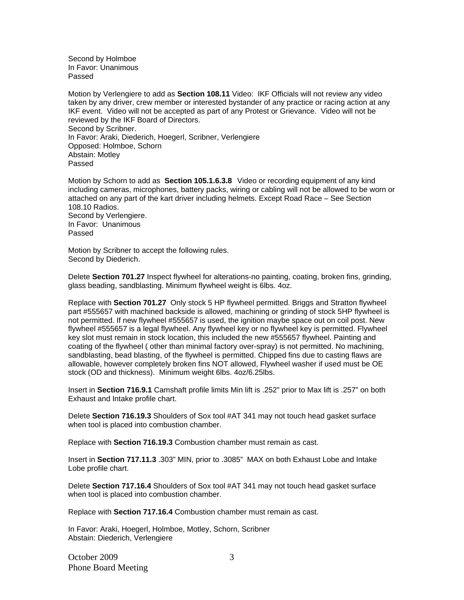Second by Holmboe In Favor: Unanimous Passed

Motion by Verlengiere to add as **Section 108.11** Video: IKF Officials will not review any video taken by any driver, crew member or interested bystander of any practice or racing action at any IKF event. Video will not be accepted as part of any Protest or Grievance. Video will not be reviewed by the IKF Board of Directors. Second by Scribner. In Favor: Araki, Diederich, Hoegerl, Scribner, Verlengiere Opposed: Holmboe, Schorn Abstain: Motley Passed

Motion by Schorn to add as **Section 105.1.6.3.8**Video or recording equipment of any kind including cameras, microphones, battery packs, wiring or cabling will not be allowed to be worn or attached on any part of the kart driver including helmets. Except Road Race – See Section 108.10 Radios. Second by Verlengiere. In Favor: Unanimous Passed

Motion by Scribner to accept the following rules. Second by Diederich.

Delete **Section 701.27** Inspect flywheel for alterations-no painting, coating, broken fins, grinding, glass beading, sandblasting. Minimum flywheel weight is 6lbs. 4oz.

Replace with **Section 701.27** Only stock 5 HP flywheel permitted. Briggs and Stratton flywheel part #555657 with machined backside is allowed, machining or grinding of stock 5HP flywheel is not permitted. If new flywheel #555657 is used, the ignition maybe space out on coil post. New flywheel #555657 is a legal flywheel. Any flywheel key or no flywheel key is permitted. Flywheel key slot must remain in stock location, this included the new #555657 flywheel. Painting and coating of the flywheel ( other than minimal factory over-spray) is not permitted. No machining, sandblasting, bead blasting, of the flywheel is permitted. Chipped fins due to casting flaws are allowable, however completely broken fins NOT allowed, Flywheel washer if used must be OE stock (OD and thickness). Minimum weight 6lbs. 4oz/6.25lbs.

Insert in **Section 716.9.1** Camshaft profile limits Min lift is .252" prior to Max lift is .257" on both Exhaust and Intake profile chart.

Delete **Section 716.19.3** Shoulders of Sox tool #AT 341 may not touch head gasket surface when tool is placed into combustion chamber.

Replace with **Section 716.19.3** Combustion chamber must remain as cast.

Insert in **Section 717.11.3** .303" MIN, prior to .3085" MAX on both Exhaust Lobe and Intake Lobe profile chart.

Delete **Section 717.16.4** Shoulders of Sox tool #AT 341 may not touch head gasket surface when tool is placed into combustion chamber.

Replace with **Section 717.16.4** Combustion chamber must remain as cast.

In Favor: Araki, Hoegerl, Holmboe, Motley, Schorn, Scribner Abstain: Diederich, Verlengiere

October 2009 Phone Board Meeting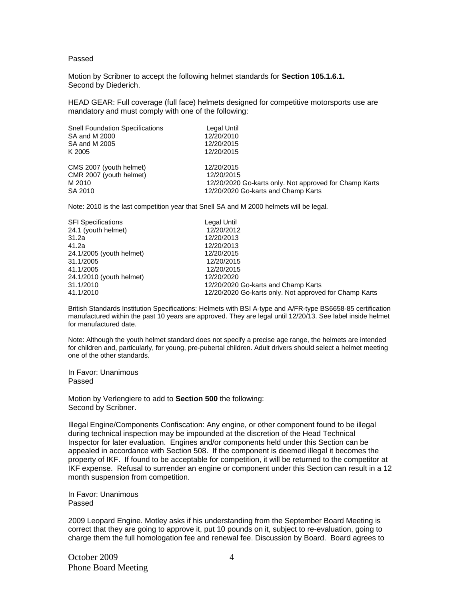#### Passed

Motion by Scribner to accept the following helmet standards for **Section 105.1.6.1.**  Second by Diederich.

HEAD GEAR: Full coverage (full face) helmets designed for competitive motorsports use are mandatory and must comply with one of the following:

| <b>Snell Foundation Specifications</b> | Legal Until                                            |
|----------------------------------------|--------------------------------------------------------|
| SA and M 2000                          | 12/20/2010                                             |
| SA and M 2005                          | 12/20/2015                                             |
| K 2005                                 | 12/20/2015                                             |
| CMS 2007 (youth helmet)                | 12/20/2015                                             |
| CMR 2007 (youth helmet)                | 12/20/2015                                             |
| M 2010                                 | 12/20/2020 Go-karts only. Not approved for Champ Karts |
| SA 2010                                | 12/20/2020 Go-karts and Champ Karts                    |

Note: 2010 is the last competition year that Snell SA and M 2000 helmets will be legal.

| <b>SFI Specifications</b> | Legal Until                                            |
|---------------------------|--------------------------------------------------------|
| 24.1 (youth helmet)       | 12/20/2012                                             |
| 31.2a                     | 12/20/2013                                             |
| 41.2a                     | 12/20/2013                                             |
| 24.1/2005 (youth helmet)  | 12/20/2015                                             |
| 31.1/2005                 | 12/20/2015                                             |
| 41.1/2005                 | 12/20/2015                                             |
| 24.1/2010 (youth helmet)  | 12/20/2020                                             |
| 31.1/2010                 | 12/20/2020 Go-karts and Champ Karts                    |
| 41.1/2010                 | 12/20/2020 Go-karts only. Not approved for Champ Karts |

British Standards Institution Specifications: Helmets with BSI A-type and A/FR-type BS6658-85 certification manufactured within the past 10 years are approved. They are legal until 12/20/13. See label inside helmet for manufactured date.

Note: Although the youth helmet standard does not specify a precise age range, the helmets are intended for children and, particularly, for young, pre-pubertal children. Adult drivers should select a helmet meeting one of the other standards.

In Favor: Unanimous Passed

Motion by Verlengiere to add to **Section 500** the following: Second by Scribner.

Illegal Engine/Components Confiscation: Any engine, or other component found to be illegal during technical inspection may be impounded at the discretion of the Head Technical Inspector for later evaluation. Engines and/or components held under this Section can be appealed in accordance with Section 508. If the component is deemed illegal it becomes the property of IKF. If found to be acceptable for competition, it will be returned to the competitor at IKF expense. Refusal to surrender an engine or component under this Section can result in a 12 month suspension from competition.

In Favor: Unanimous Passed

2009 Leopard Engine. Motley asks if his understanding from the September Board Meeting is correct that they are going to approve it, put 10 pounds on it, subject to re-evaluation, going to charge them the full homologation fee and renewal fee. Discussion by Board. Board agrees to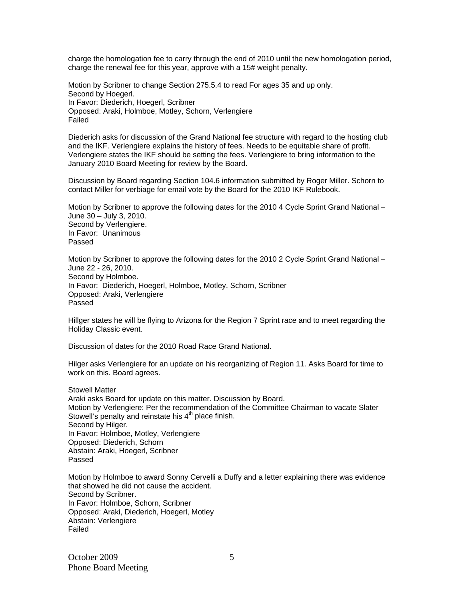charge the homologation fee to carry through the end of 2010 until the new homologation period, charge the renewal fee for this year, approve with a 15# weight penalty.

Motion by Scribner to change Section 275.5.4 to read For ages 35 and up only. Second by Hoegerl. In Favor: Diederich, Hoegerl, Scribner Opposed: Araki, Holmboe, Motley, Schorn, Verlengiere Failed

Diederich asks for discussion of the Grand National fee structure with regard to the hosting club and the IKF. Verlengiere explains the history of fees. Needs to be equitable share of profit. Verlengiere states the IKF should be setting the fees. Verlengiere to bring information to the January 2010 Board Meeting for review by the Board.

Discussion by Board regarding Section 104.6 information submitted by Roger Miller. Schorn to contact Miller for verbiage for email vote by the Board for the 2010 IKF Rulebook.

Motion by Scribner to approve the following dates for the 2010 4 Cycle Sprint Grand National – June 30 – July 3, 2010. Second by Verlengiere. In Favor: Unanimous Passed

Motion by Scribner to approve the following dates for the 2010 2 Cycle Sprint Grand National – June 22 - 26, 2010. Second by Holmboe. In Favor: Diederich, Hoegerl, Holmboe, Motley, Schorn, Scribner Opposed: Araki, Verlengiere Passed

Hillger states he will be flying to Arizona for the Region 7 Sprint race and to meet regarding the Holiday Classic event.

Discussion of dates for the 2010 Road Race Grand National.

Hilger asks Verlengiere for an update on his reorganizing of Region 11. Asks Board for time to work on this. Board agrees.

Stowell Matter Araki asks Board for update on this matter. Discussion by Board. Motion by Verlengiere: Per the recommendation of the Committee Chairman to vacate Slater Stowell's penalty and reinstate his  $4<sup>th</sup>$  place finish. Second by Hilger. In Favor: Holmboe, Motley, Verlengiere Opposed: Diederich, Schorn Abstain: Araki, Hoegerl, Scribner Passed

Motion by Holmboe to award Sonny Cervelli a Duffy and a letter explaining there was evidence that showed he did not cause the accident. Second by Scribner. In Favor: Holmboe, Schorn, Scribner Opposed: Araki, Diederich, Hoegerl, Motley Abstain: Verlengiere Failed